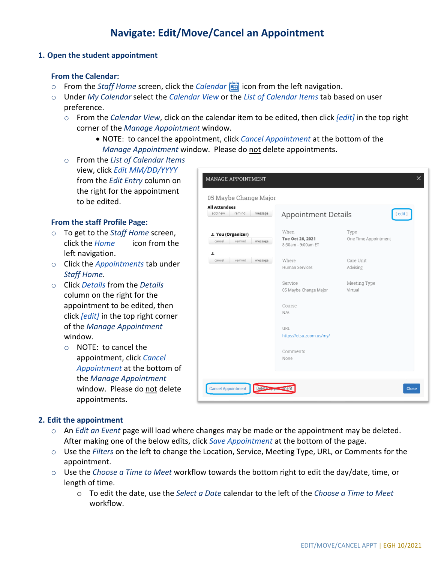# **Navigate: Edit/Move/Cancel an Appointment**

#### **1. Open the student appointment**

### **From the Calendar:**

- o From the *Staff Home* screen, click the *Calendar* icon from the left navigation.
- o Under *My Calendar* select the *Calendar View* or the *List of Calendar Items* tab based on user preference.
	- o From the *Calendar View*, click on the calendar item to be edited, then click *[edit]* in the top right corner of the *Manage Appointment* window.
		- NOTE: to cancel the appointment, click *Cancel Appointment* at the bottom of the *Manage Appointment* window. Please do not delete appointments.
	- o From the *List of Calendar Items* view, click *Edit MM/DD/YYYY* from the *Edit Entry* column on the right for the appointment to be edited.

### **From the staff Profile Page:**

- o To get to the *Staff Home* screen, click the *Home* icon from the left navigation.
- o Click the *Appointments* tab under *Staff Home*.
- o Click *Details* from the *Details* column on the right for the appointment to be edited, then click *[edit]* in the top right corner of the *Manage Appointment* window.
	- o NOTE: to cancel the appointment, click *Cancel Appointment* at the bottom of the *Manage Appointment* window. Please do not delete appointments.

| <b>All Attendees</b><br>remind<br>add new<br>message | Appointment Details                    | $[$ edit $]$         |
|------------------------------------------------------|----------------------------------------|----------------------|
|                                                      |                                        |                      |
| 1 You (Organizer)                                    | When                                   | Type                 |
| cancel<br>remind<br>message                          | Tue Oct 26, 2021<br>8:30am - 9:00am ET | One Time Appointment |
| ᆂ                                                    |                                        |                      |
| remind<br>cancel<br>message                          | Where                                  | Care Unit            |
|                                                      | Human Services                         | Advising             |
|                                                      | Service                                | Meeting Type         |
|                                                      | 05 Maybe Change Major                  | Virtual              |
|                                                      | Course                                 |                      |
|                                                      | N/A                                    |                      |
|                                                      | URL                                    |                      |
|                                                      | https://etsu.zoom.us/my/               |                      |
|                                                      | Comments                               |                      |
|                                                      | None                                   |                      |

## **2. Edit the appointment**

- o An *Edit an Event* page will load where changes may be made or the appointment may be deleted. After making one of the below edits, click *Save Appointment* at the bottom of the page.
- o Use the *Filters* on the left to change the Location, Service, Meeting Type, URL, or Comments for the appointment.
- o Use the *Choose a Time to Meet* workflow towards the bottom right to edit the day/date, time, or length of time.
	- o To edit the date, use the *Select a Date* calendar to the left of the *Choose a Time to Meet* workflow.